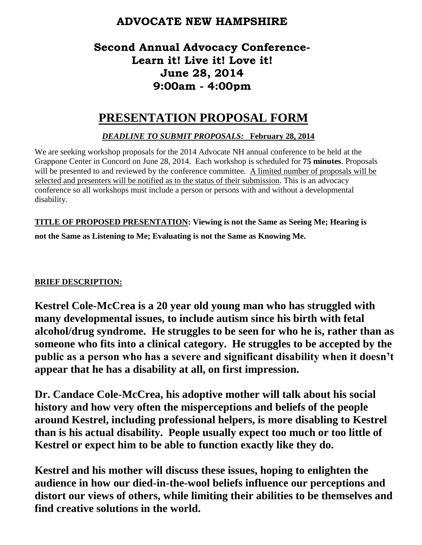## **ADVOCATE NEW HAMPSHIRE**

# **Second Annual Advocacy Conference-Learn it! Live it! Love it! June 28, 2014 9:00am - 4:00pm**

# **PRESENTATION PROPOSAL FORM**

### *DEADLINE TO SUBMIT PROPOSALS:* **February 28, 2014**

We are seeking workshop proposals for the 2014 Advocate NH annual conference to be held at the Grappone Center in Concord on June 28, 2014. Each workshop is scheduled for **75 minutes**. Proposals will be presented to and reviewed by the conference committee. A limited number of proposals will be selected and presenters will be notified as to the status of their submission. This is an advocacy conference so all workshops must include a person or persons with and without a developmental disability.

**TITLE OF PROPOSED PRESENTATION: Viewing is not the Same as Seeing Me; Hearing is not the Same as Listening to Me; Evaluating is not the Same as Knowing Me.**

#### **BRIEF DESCRIPTION:**

**Kestrel Cole-McCrea is a 20 year old young man who has struggled with many developmental issues, to include autism since his birth with fetal alcohol/drug syndrome. He struggles to be seen for who he is, rather than as someone who fits into a clinical category. He struggles to be accepted by the public as a person who has a severe and significant disability when it doesn't appear that he has a disability at all, on first impression.**

**Dr. Candace Cole-McCrea, his adoptive mother will talk about his social history and how very often the misperceptions and beliefs of the people around Kestrel, including professional helpers, is more disabling to Kestrel than is his actual disability. People usually expect too much or too little of Kestrel or expect him to be able to function exactly like they do.**

**Kestrel and his mother will discuss these issues, hoping to enlighten the audience in how our died-in-the-wool beliefs influence our perceptions and distort our views of others, while limiting their abilities to be themselves and find creative solutions in the world.**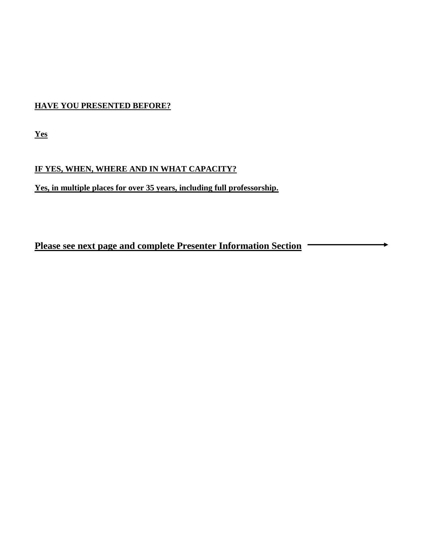#### **HAVE YOU PRESENTED BEFORE?**

**Yes**

### **IF YES, WHEN, WHERE AND IN WHAT CAPACITY?**

**Yes, in multiple places for over 35 years, including full professorship.**

**Please see next page and complete Presenter Information Section**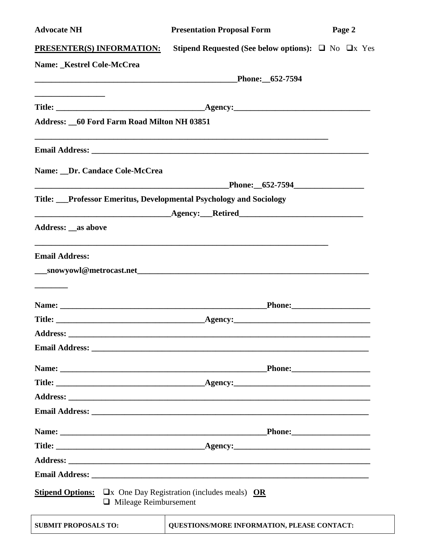| <b>Advocate NH</b>                                                                                                    | <b>Presentation Proposal Form</b>                                                | Page 2 |
|-----------------------------------------------------------------------------------------------------------------------|----------------------------------------------------------------------------------|--------|
| <b>PRESENTER(S) INFORMATION:</b>                                                                                      | <b>Stipend Requested (See below options):</b> $\Box$ No $\Box$ x Yes             |        |
| Name: _Kestrel Cole-McCrea                                                                                            |                                                                                  |        |
|                                                                                                                       | Phone: 652-7594                                                                  |        |
|                                                                                                                       |                                                                                  |        |
|                                                                                                                       |                                                                                  |        |
| <b>Address: 60 Ford Farm Road Milton NH 03851</b>                                                                     |                                                                                  |        |
|                                                                                                                       |                                                                                  |        |
| Name: _Dr. Candace Cole-McCrea                                                                                        |                                                                                  |        |
|                                                                                                                       |                                                                                  |        |
| Title: Professor Emeritus, Developmental Psychology and Sociology                                                     |                                                                                  |        |
| <u> 2000 - Jan James James Jan James James Jan James James Jan James James Jan James James Jan Jan James James Ja</u> |                                                                                  |        |
| <b>Address: _as above</b>                                                                                             |                                                                                  |        |
| <b>Email Address:</b>                                                                                                 | ,我们也不能在这里的时候,我们也不能在这里的时候,我们也不能在这里的时候,我们也不能会在这里的时候,我们也不能会在这里的时候,我们也不能会在这里的时候,我们也不 |        |
|                                                                                                                       |                                                                                  |        |
|                                                                                                                       |                                                                                  |        |
|                                                                                                                       |                                                                                  |        |
|                                                                                                                       |                                                                                  |        |
|                                                                                                                       |                                                                                  |        |
|                                                                                                                       |                                                                                  |        |
|                                                                                                                       |                                                                                  |        |
|                                                                                                                       |                                                                                  |        |
|                                                                                                                       |                                                                                  |        |
|                                                                                                                       |                                                                                  |        |
|                                                                                                                       |                                                                                  |        |
|                                                                                                                       |                                                                                  |        |
|                                                                                                                       |                                                                                  |        |
|                                                                                                                       |                                                                                  |        |
| <b>Stipend Options:</b> $\Box x$ One Day Registration (includes meals) OR<br>$\Box$ Mileage Reimbursement             |                                                                                  |        |
| <b>SUBMIT PROPOSALS TO:</b>                                                                                           | QUESTIONS/MORE INFORMATION, PLEASE CONTACT:                                      |        |

| <b>AIT PROPOSALS TO:</b> | QUESTIONS/MORE INFORMATION, PLEASE CONTACT: |
|--------------------------|---------------------------------------------|
|                          |                                             |